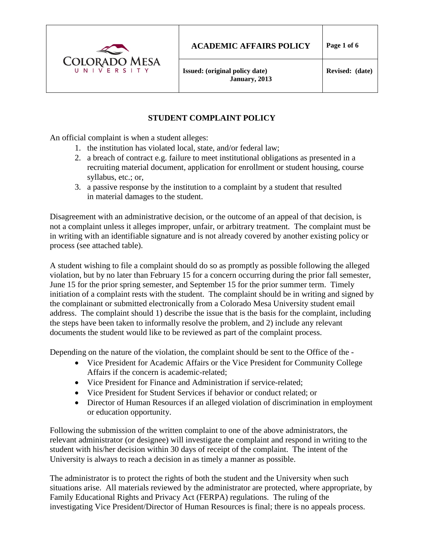

# **STUDENT COMPLAINT POLICY**

An official complaint is when a student alleges:

- 1. the institution has violated local, state, and/or federal law;
- 2. a breach of contract e.g. failure to meet institutional obligations as presented in a recruiting material document, application for enrollment or student housing, course syllabus, etc.; or,
- 3. a passive response by the institution to a complaint by a student that resulted in material damages to the student.

Disagreement with an administrative decision, or the outcome of an appeal of that decision, is not a complaint unless it alleges improper, unfair, or arbitrary treatment. The complaint must be in writing with an identifiable signature and is not already covered by another existing policy or process (see attached table).

A student wishing to file a complaint should do so as promptly as possible following the alleged violation, but by no later than February 15 for a concern occurring during the prior fall semester, June 15 for the prior spring semester, and September 15 for the prior summer term. Timely initiation of a complaint rests with the student. The complaint should be in writing and signed by the complainant or submitted electronically from a Colorado Mesa University student email address. The complaint should 1) describe the issue that is the basis for the complaint, including the steps have been taken to informally resolve the problem, and 2) include any relevant documents the student would like to be reviewed as part of the complaint process.

Depending on the nature of the violation, the complaint should be sent to the Office of the -

- Vice President for Academic Affairs or the Vice President for Community College Affairs if the concern is academic-related;
- Vice President for Finance and Administration if service-related:
- Vice President for Student Services if behavior or conduct related; or
- Director of Human Resources if an alleged violation of discrimination in employment or education opportunity.

Following the submission of the written complaint to one of the above administrators, the relevant administrator (or designee) will investigate the complaint and respond in writing to the student with his/her decision within 30 days of receipt of the complaint. The intent of the University is always to reach a decision in as timely a manner as possible.

The administrator is to protect the rights of both the student and the University when such situations arise. All materials reviewed by the administrator are protected, where appropriate, by Family Educational Rights and Privacy Act (FERPA) regulations. The ruling of the investigating Vice President/Director of Human Resources is final; there is no appeals process.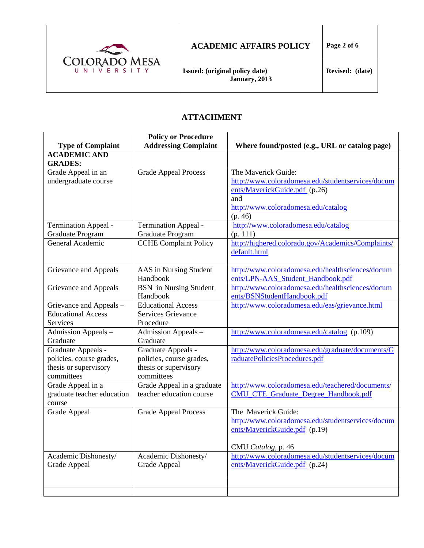

#### **ACADEMIC AFFAIRS POLICY Page 2 of 6**

#### **ATTACHMENT**

|                             | <b>Policy or Procedure</b>    |                                                    |
|-----------------------------|-------------------------------|----------------------------------------------------|
| <b>Type of Complaint</b>    | <b>Addressing Complaint</b>   | Where found/posted (e.g., URL or catalog page)     |
| <b>ACADEMIC AND</b>         |                               |                                                    |
| <b>GRADES:</b>              |                               |                                                    |
| Grade Appeal in an          | <b>Grade Appeal Process</b>   | The Maverick Guide:                                |
| undergraduate course        |                               | http://www.coloradomesa.edu/studentservices/docum  |
|                             |                               | ents/MaverickGuide.pdf (p.26)                      |
|                             |                               | and                                                |
|                             |                               | http://www.coloradomesa.edu/catalog                |
|                             |                               | (p. 46)                                            |
| <b>Termination Appeal -</b> | Termination Appeal -          | http://www.coloradomesa.edu/catalog                |
| <b>Graduate Program</b>     | Graduate Program              | (p. 111)                                           |
| General Academic            | <b>CCHE Complaint Policy</b>  | http://highered.colorado.gov/Academics/Complaints/ |
|                             |                               | default.html                                       |
|                             |                               |                                                    |
| Grievance and Appeals       | AAS in Nursing Student        | http://www.coloradomesa.edu/healthsciences/docum   |
|                             | Handbook                      | ents/LPN-AAS_Student_Handbook.pdf                  |
| Grievance and Appeals       | <b>BSN</b> in Nursing Student | http://www.coloradomesa.edu/healthsciences/docum   |
|                             | Handbook                      | ents/BSNStudentHandbook.pdf                        |
| Grievance and Appeals -     | <b>Educational Access</b>     | http://www.coloradomesa.edu/eas/grievance.html     |
| <b>Educational Access</b>   | <b>Services Grievance</b>     |                                                    |
| Services                    | Procedure                     |                                                    |
| Admission Appeals -         | Admission Appeals -           | http://www.coloradomesa.edu/catalog (p.109)        |
| Graduate                    | Graduate                      |                                                    |
| Graduate Appeals -          | Graduate Appeals -            | http://www.coloradomesa.edu/graduate/documents/G   |
| policies, course grades,    | policies, course grades,      | raduatePoliciesProcedures.pdf                      |
| thesis or supervisory       | thesis or supervisory         |                                                    |
| committees                  | committees                    |                                                    |
| Grade Appeal in a           | Grade Appeal in a graduate    | http://www.coloradomesa.edu/teachered/documents/   |
| graduate teacher education  | teacher education course      | <b>CMU_CTE_Graduate_Degree_Handbook.pdf</b>        |
| course                      |                               |                                                    |
| Grade Appeal                | <b>Grade Appeal Process</b>   | The Maverick Guide:                                |
|                             |                               | http://www.coloradomesa.edu/studentservices/docum  |
|                             |                               | ents/MaverickGuide.pdf (p.19)                      |
|                             |                               |                                                    |
|                             |                               | CMU Catalog, p. 46                                 |
| Academic Dishonesty/        | Academic Dishonesty/          | http://www.coloradomesa.edu/studentservices/docum  |
| Grade Appeal                | Grade Appeal                  | ents/MaverickGuide.pdf (p.24)                      |
|                             |                               |                                                    |
|                             |                               |                                                    |
|                             |                               |                                                    |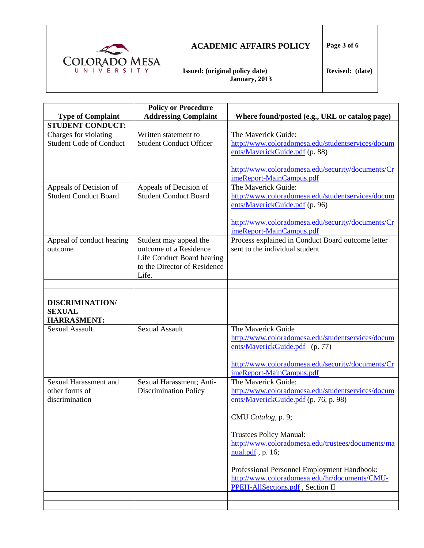

## **ACADEMIC AFFAIRS POLICY Page 3 of 6**

**Issued: (original policy date) January, 2013**

|                                | <b>Policy or Procedure</b>     |                                                                                              |
|--------------------------------|--------------------------------|----------------------------------------------------------------------------------------------|
| <b>Type of Complaint</b>       | <b>Addressing Complaint</b>    | Where found/posted (e.g., URL or catalog page)                                               |
| <b>STUDENT CONDUCT:</b>        |                                |                                                                                              |
| Charges for violating          | Written statement to           | The Maverick Guide:                                                                          |
| <b>Student Code of Conduct</b> | <b>Student Conduct Officer</b> | http://www.coloradomesa.edu/studentservices/docum                                            |
|                                |                                | ents/MaverickGuide.pdf (p. 88)                                                               |
|                                |                                | http://www.coloradomesa.edu/security/documents/Cr                                            |
|                                |                                | imeReport-MainCampus.pdf                                                                     |
| Appeals of Decision of         | Appeals of Decision of         | The Maverick Guide:                                                                          |
| <b>Student Conduct Board</b>   | <b>Student Conduct Board</b>   | http://www.coloradomesa.edu/studentservices/docum                                            |
|                                |                                | ents/MaverickGuide.pdf (p. 96)                                                               |
|                                |                                |                                                                                              |
|                                |                                | http://www.coloradomesa.edu/security/documents/Cr                                            |
|                                |                                | imeReport-MainCampus.pdf                                                                     |
| Appeal of conduct hearing      | Student may appeal the         | Process explained in Conduct Board outcome letter                                            |
| outcome                        | outcome of a Residence         | sent to the individual student                                                               |
|                                | Life Conduct Board hearing     |                                                                                              |
|                                | to the Director of Residence   |                                                                                              |
|                                | Life.                          |                                                                                              |
|                                |                                |                                                                                              |
|                                |                                |                                                                                              |
| <b>DISCRIMINATION/</b>         |                                |                                                                                              |
| <b>SEXUAL</b>                  |                                |                                                                                              |
| <b>HARRASMENT:</b>             | <b>Sexual Assault</b>          | The Maverick Guide                                                                           |
| <b>Sexual Assault</b>          |                                | http://www.coloradomesa.edu/studentservices/docum                                            |
|                                |                                | ents/MaverickGuide.pdf (p. 77)                                                               |
|                                |                                |                                                                                              |
|                                |                                | http://www.coloradomesa.edu/security/documents/Cr                                            |
|                                |                                | imeReport-MainCampus.pdf                                                                     |
| Sexual Harassment and          | Sexual Harassment; Anti-       | The Maverick Guide:                                                                          |
| other forms of                 | <b>Discrimination Policy</b>   | http://www.coloradomesa.edu/studentservices/docum                                            |
| discrimination                 |                                | ents/MaverickGuide.pdf (p. 76, p. 98)                                                        |
|                                |                                |                                                                                              |
|                                |                                | CMU Catalog, p. 9;                                                                           |
|                                |                                |                                                                                              |
|                                |                                | <b>Trustees Policy Manual:</b>                                                               |
|                                |                                | http://www.coloradomesa.edu/trustees/documents/ma                                            |
|                                |                                | $nual.pdf$ , p. 16;                                                                          |
|                                |                                |                                                                                              |
|                                |                                | Professional Personnel Employment Handbook:<br>http://www.coloradomesa.edu/hr/documents/CMU- |
|                                |                                | PPEH-AllSections.pdf, Section II                                                             |
|                                |                                |                                                                                              |
|                                |                                |                                                                                              |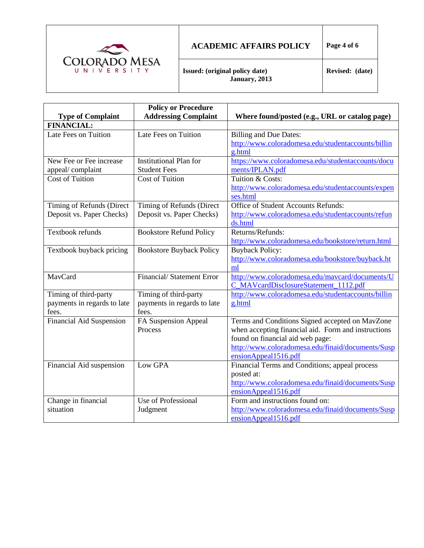

## **ACADEMIC AFFAIRS POLICY Page 4 of 6**

**Issued: (original policy date) January, 2013**

|                                 | <b>Policy or Procedure</b>       |                                                     |
|---------------------------------|----------------------------------|-----------------------------------------------------|
| <b>Type of Complaint</b>        | <b>Addressing Complaint</b>      | Where found/posted (e.g., URL or catalog page)      |
| <b>FINANCIAL:</b>               |                                  |                                                     |
| Late Fees on Tuition            | Late Fees on Tuition             | <b>Billing and Due Dates:</b>                       |
|                                 |                                  | http://www.coloradomesa.edu/studentaccounts/billin  |
|                                 |                                  | g.html                                              |
| New Fee or Fee increase         | <b>Institutional Plan for</b>    | https://www.coloradomesa.edu/studentaccounts/docu   |
| appeal/complaint                | <b>Student Fees</b>              | ments/IPLAN.pdf                                     |
| <b>Cost of Tuition</b>          | <b>Cost of Tuition</b>           | Tuition & Costs:                                    |
|                                 |                                  | http://www.coloradomesa.edu/studentaccounts/expen   |
|                                 |                                  | ses.html                                            |
| Timing of Refunds (Direct       | Timing of Refunds (Direct        | Office of Student Accounts Refunds:                 |
| Deposit vs. Paper Checks)       | Deposit vs. Paper Checks)        | http://www.coloradomesa.edu/studentaccounts/refun   |
|                                 |                                  | ds.html                                             |
| Textbook refunds                | <b>Bookstore Refund Policy</b>   | Returns/Refunds:                                    |
|                                 |                                  | http://www.coloradomesa.edu/bookstore/return.html   |
| Textbook buyback pricing        | <b>Bookstore Buyback Policy</b>  | <b>Buyback Policy:</b>                              |
|                                 |                                  | http://www.coloradomesa.edu/bookstore/buyback.ht    |
|                                 |                                  | ml                                                  |
| MavCard                         | <b>Financial/Statement Error</b> | http://www.coloradomesa.edu/mavcard/documents/U     |
|                                 |                                  | C_MAVcardDisclosureStatement_1112.pdf               |
| Timing of third-party           | Timing of third-party            | http://www.coloradomesa.edu/studentaccounts/billin  |
| payments in regards to late     | payments in regards to late      | g.html                                              |
| fees.                           | fees.                            |                                                     |
| <b>Financial Aid Suspension</b> | FA Suspension Appeal             | Terms and Conditions Signed accepted on MavZone     |
|                                 | Process                          | when accepting financial aid. Form and instructions |
|                                 |                                  | found on financial aid web page:                    |
|                                 |                                  | http://www.coloradomesa.edu/finaid/documents/Susp   |
|                                 |                                  | ensionAppeal1516.pdf                                |
| Financial Aid suspension        | Low GPA                          | Financial Terms and Conditions; appeal process      |
|                                 |                                  | posted at:                                          |
|                                 |                                  | http://www.coloradomesa.edu/finaid/documents/Susp   |
|                                 |                                  | ensionAppeal1516.pdf                                |
| Change in financial             | Use of Professional              | Form and instructions found on:                     |
| situation                       | Judgment                         | http://www.coloradomesa.edu/finaid/documents/Susp   |
|                                 |                                  | ensionAppeal1516.pdf                                |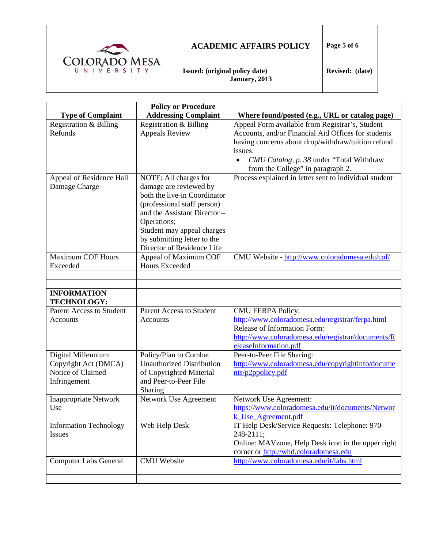

# **ACADEMIC AFFAIRS POLICY Page 5 of 6**

**Issued: (original policy date) January, 2013**

|                                                                                 | <b>Policy or Procedure</b>                                                                                                                                                                                                                               |                                                                                                                                                                                                                                                                       |
|---------------------------------------------------------------------------------|----------------------------------------------------------------------------------------------------------------------------------------------------------------------------------------------------------------------------------------------------------|-----------------------------------------------------------------------------------------------------------------------------------------------------------------------------------------------------------------------------------------------------------------------|
| <b>Type of Complaint</b>                                                        | <b>Addressing Complaint</b>                                                                                                                                                                                                                              | Where found/posted (e.g., URL or catalog page)                                                                                                                                                                                                                        |
| Registration & Billing<br>Refunds                                               | Registration & Billing<br><b>Appeals Review</b>                                                                                                                                                                                                          | Appeal Form available from Registrar's, Student<br>Accounts, and/or Financial Aid Offices for students<br>having concerns about drop/withdraw/tuition refund<br>issues.<br>CMU Catalog, p. 38 under "Total Withdraw<br>$\bullet$<br>from the College" in paragraph 2. |
| Appeal of Residence Hall<br>Damage Charge                                       | NOTE: All charges for<br>damage are reviewed by<br>both the live-in Coordinator<br>(professional staff person)<br>and the Assistant Director -<br>Operations;<br>Student may appeal charges<br>by submitting letter to the<br>Director of Residence Life | Process explained in letter sent to individual student                                                                                                                                                                                                                |
| <b>Maximum COF Hours</b>                                                        | Appeal of Maximum COF                                                                                                                                                                                                                                    | CMU Website - http://www.coloradomesa.edu/cof/                                                                                                                                                                                                                        |
| Exceeded                                                                        | <b>Hours Exceeded</b>                                                                                                                                                                                                                                    |                                                                                                                                                                                                                                                                       |
|                                                                                 |                                                                                                                                                                                                                                                          |                                                                                                                                                                                                                                                                       |
|                                                                                 |                                                                                                                                                                                                                                                          |                                                                                                                                                                                                                                                                       |
| <b>INFORMATION</b><br><b>TECHNOLOGY:</b>                                        |                                                                                                                                                                                                                                                          |                                                                                                                                                                                                                                                                       |
| Parent Access to Student<br><b>Accounts</b>                                     | Parent Access to Student<br>Accounts                                                                                                                                                                                                                     | <b>CMU FERPA Policy:</b><br>http://www.coloradomesa.edu/registrar/ferpa.html<br>Release of Information Form:<br>http://www.coloradomesa.edu/registrar/documents/R<br>eleaseInformation.pdf                                                                            |
| Digital Millennium<br>Copyright Act (DMCA)<br>Notice of Claimed<br>Infringement | Policy/Plan to Combat<br><b>Unauthorized Distribution</b><br>of Copyrighted Material<br>and Peer-to-Peer File<br>Sharing                                                                                                                                 | Peer-to-Peer File Sharing:<br>http://www.coloradomesa.edu/copyrightinfo/docume<br>nts/p2ppolicy.pdf                                                                                                                                                                   |
| <b>Inappropriate Network</b><br>Use                                             | Network Use Agreement                                                                                                                                                                                                                                    | Network Use Agreement:<br>https://www.coloradomesa.edu/it/documents/Networ<br>k Use Agreement.pdf                                                                                                                                                                     |
| <b>Information Technology</b><br><b>Issues</b>                                  | Web Help Desk                                                                                                                                                                                                                                            | IT Help Desk/Service Requests: Telephone: 970-<br>248-2111;<br>Online: MAVzone, Help Desk icon in the upper right<br>corner or http://whd.coloradomesa.edu                                                                                                            |
| <b>Computer Labs General</b>                                                    | <b>CMU</b> Website                                                                                                                                                                                                                                       | http://www.coloradomesa.edu/it/labs.html                                                                                                                                                                                                                              |
|                                                                                 |                                                                                                                                                                                                                                                          |                                                                                                                                                                                                                                                                       |